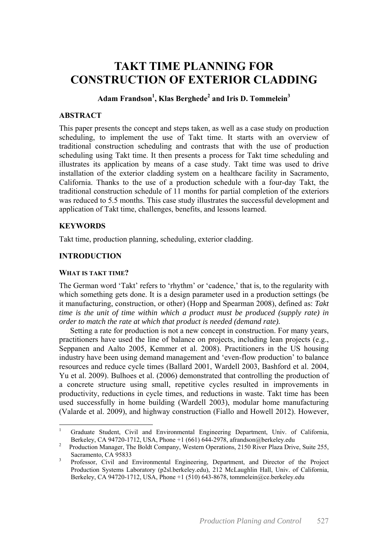# **TAKT TIME PLANNING FOR CONSTRUCTION OF EXTERIOR CLADDING**

## $\mathbf{Adam\,Frandson}^{1}, \mathbf{Klas\,Berghede}^{2}$  and Iris **D. Tommelein** $^{3}$

## **ABSTRACT**

This paper presents the concept and steps taken, as well as a case study on production scheduling, to implement the use of Takt time. It starts with an overview of traditional construction scheduling and contrasts that with the use of production scheduling using Takt time. It then presents a process for Takt time scheduling and illustrates its application by means of a case study. Takt time was used to drive installation of the exterior cladding system on a healthcare facility in Sacramento, California. Thanks to the use of a production schedule with a four-day Takt, the traditional construction schedule of 11 months for partial completion of the exteriors was reduced to 5.5 months. This case study illustrates the successful development and application of Takt time, challenges, benefits, and lessons learned.

## **KEYWORDS**

<u>.</u>

Takt time, production planning, scheduling, exterior cladding.

## **INTRODUCTION**

#### **WHAT IS TAKT TIME?**

The German word 'Takt' refers to 'rhythm' or 'cadence,' that is, to the regularity with which something gets done. It is a design parameter used in a production settings (be it manufacturing, construction, or other) (Hopp and Spearman 2008), defined as: *Takt time is the unit of time within which a product must be produced (supply rate) in order to match the rate at which that product is needed (demand rate).* 

Setting a rate for production is not a new concept in construction. For many years, practitioners have used the line of balance on projects, including lean projects (e.g., Seppanen and Aalto 2005, Kemmer et al. 2008). Practitioners in the US housing industry have been using demand management and 'even-flow production' to balance resources and reduce cycle times (Ballard 2001, Wardell 2003, Bashford et al. 2004, Yu et al. 2009). Bulhoes et al. (2006) demonstrated that controlling the production of a concrete structure using small, repetitive cycles resulted in improvements in productivity, reductions in cycle times, and reductions in waste. Takt time has been used successfully in home building (Wardell 2003), modular home manufacturing (Valarde et al. 2009), and highway construction (Fiallo and Howell 2012). However,

<sup>1</sup> Graduate Student, Civil and Environmental Engineering Department, Univ. of California, Berkeley, CA 94720-1712, USA, Phone +1 (661) 644-2978, afrandson@berkeley.edu<br><sup>2</sup> Becaustion Manager. The Beldt Company, Western Operations, 2150 River Plaza Drive

Production Manager, The Boldt Company, Western Operations, 2150 River Plaza Drive, Suite 255, Sacramento, CA 95833

Professor, Civil and Environmental Engineering, Department, and Director of the Project Production Systems Laboratory (p2sl.berkeley.edu), 212 McLaughlin Hall, Univ. of California, Berkeley, CA 94720-1712, USA, Phone +1 (510) 643-8678, tommelein@ce.berkeley.edu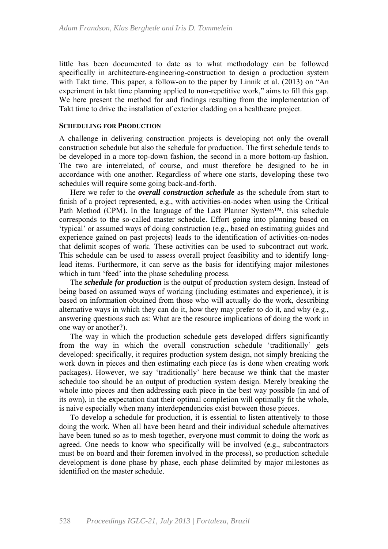little has been documented to date as to what methodology can be followed specifically in architecture-engineering-construction to design a production system with Takt time. This paper, a follow-on to the paper by Linnik et al. (2013) on "An experiment in takt time planning applied to non-repetitive work," aims to fill this gap. We here present the method for and findings resulting from the implementation of Takt time to drive the installation of exterior cladding on a healthcare project.

#### **SCHEDULING FOR PRODUCTION**

A challenge in delivering construction projects is developing not only the overall construction schedule but also the schedule for production. The first schedule tends to be developed in a more top-down fashion, the second in a more bottom-up fashion. The two are interrelated, of course, and must therefore be designed to be in accordance with one another. Regardless of where one starts, developing these two schedules will require some going back-and-forth.

Here we refer to the *overall construction schedule* as the schedule from start to finish of a project represented, e.g., with activities-on-nodes when using the Critical Path Method (CPM). In the language of the Last Planner System™, this schedule corresponds to the so-called master schedule. Effort going into planning based on 'typical' or assumed ways of doing construction (e.g., based on estimating guides and experience gained on past projects) leads to the identification of activities-on-nodes that delimit scopes of work. These activities can be used to subcontract out work. This schedule can be used to assess overall project feasibility and to identify longlead items. Furthermore, it can serve as the basis for identifying major milestones which in turn 'feed' into the phase scheduling process.

The *schedule for production* is the output of production system design. Instead of being based on assumed ways of working (including estimates and experience), it is based on information obtained from those who will actually do the work, describing alternative ways in which they can do it, how they may prefer to do it, and why (e.g., answering questions such as: What are the resource implications of doing the work in one way or another?).

The way in which the production schedule gets developed differs significantly from the way in which the overall construction schedule 'traditionally' gets developed: specifically, it requires production system design, not simply breaking the work down in pieces and then estimating each piece (as is done when creating work packages). However, we say 'traditionally' here because we think that the master schedule too should be an output of production system design. Merely breaking the whole into pieces and then addressing each piece in the best way possible (in and of its own), in the expectation that their optimal completion will optimally fit the whole, is naive especially when many interdependencies exist between those pieces.

To develop a schedule for production, it is essential to listen attentively to those doing the work. When all have been heard and their individual schedule alternatives have been tuned so as to mesh together, everyone must commit to doing the work as agreed. One needs to know who specifically will be involved (e.g., subcontractors must be on board and their foremen involved in the process), so production schedule development is done phase by phase, each phase delimited by major milestones as identified on the master schedule.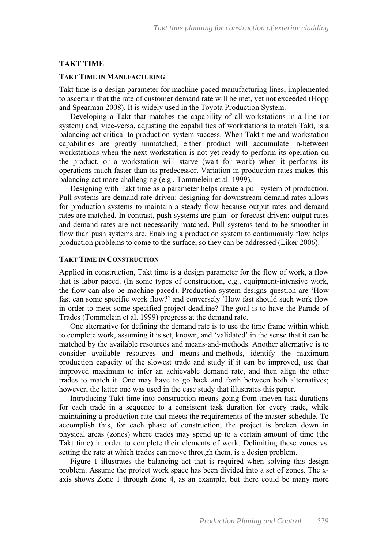#### **TAKT TIME**

#### **TAKT TIME IN MANUFACTURING**

Takt time is a design parameter for machine-paced manufacturing lines, implemented to ascertain that the rate of customer demand rate will be met, yet not exceeded (Hopp and Spearman 2008). It is widely used in the Toyota Production System.

Developing a Takt that matches the capability of all workstations in a line (or system) and, vice-versa, adjusting the capabilities of workstations to match Takt, is a balancing act critical to production-system success. When Takt time and workstation capabilities are greatly unmatched, either product will accumulate in-between workstations when the next workstation is not yet ready to perform its operation on the product, or a workstation will starve (wait for work) when it performs its operations much faster than its predecessor. Variation in production rates makes this balancing act more challenging (e.g., Tommelein et al. 1999).

Designing with Takt time as a parameter helps create a pull system of production. Pull systems are demand-rate driven: designing for downstream demand rates allows for production systems to maintain a steady flow because output rates and demand rates are matched. In contrast, push systems are plan- or forecast driven: output rates and demand rates are not necessarily matched. Pull systems tend to be smoother in flow than push systems are. Enabling a production system to continuously flow helps production problems to come to the surface, so they can be addressed (Liker 2006).

#### **TAKT TIME IN CONSTRUCTION**

Applied in construction, Takt time is a design parameter for the flow of work, a flow that is labor paced. (In some types of construction, e.g., equipment-intensive work, the flow can also be machine paced). Production system designs question are 'How fast can some specific work flow?' and conversely 'How fast should such work flow in order to meet some specified project deadline? The goal is to have the Parade of Trades (Tommelein et al. 1999) progress at the demand rate.

One alternative for defining the demand rate is to use the time frame within which to complete work, assuming it is set, known, and 'validated' in the sense that it can be matched by the available resources and means-and-methods. Another alternative is to consider available resources and means-and-methods, identify the maximum production capacity of the slowest trade and study if it can be improved, use that improved maximum to infer an achievable demand rate, and then align the other trades to match it. One may have to go back and forth between both alternatives; however, the latter one was used in the case study that illustrates this paper.

Introducing Takt time into construction means going from uneven task durations for each trade in a sequence to a consistent task duration for every trade, while maintaining a production rate that meets the requirements of the master schedule. To accomplish this, for each phase of construction, the project is broken down in physical areas (zones) where trades may spend up to a certain amount of time (the Takt time) in order to complete their elements of work. Delimiting these zones vs. setting the rate at which trades can move through them, is a design problem.

Figure 1 illustrates the balancing act that is required when solving this design problem. Assume the project work space has been divided into a set of zones. The xaxis shows Zone 1 through Zone 4, as an example, but there could be many more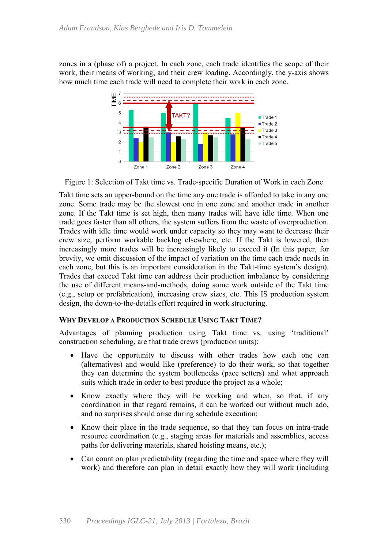zones in a (phase of) a project. In each zone, each trade identifies the scope of their work, their means of working, and their crew loading. Accordingly, the y-axis shows how much time each trade will need to complete their work in each zone.



Figure 1: Selection of Takt time vs. Trade-specific Duration of Work in each Zone

Takt time sets an upper-bound on the time any one trade is afforded to take in any one zone. Some trade may be the slowest one in one zone and another trade in another zone. If the Takt time is set high, then many trades will have idle time. When one trade goes faster than all others, the system suffers from the waste of overproduction. Trades with idle time would work under capacity so they may want to decrease their crew size, perform workable backlog elsewhere, etc. If the Takt is lowered, then increasingly more trades will be increasingly likely to exceed it (In this paper, for brevity, we omit discussion of the impact of variation on the time each trade needs in each zone, but this is an important consideration in the Takt-time system's design). Trades that exceed Takt time can address their production imbalance by considering the use of different means-and-methods, doing some work outside of the Takt time (e.g., setup or prefabrication), increasing crew sizes, etc. This IS production system design, the down-to-the-details effort required in work structuring.

#### **WHY DEVELOP A PRODUCTION SCHEDULE USING TAKT TIME?**

Advantages of planning production using Takt time vs. using 'traditional' construction scheduling, are that trade crews (production units):

- Have the opportunity to discuss with other trades how each one can (alternatives) and would like (preference) to do their work, so that together they can determine the system bottlenecks (pace setters) and what approach suits which trade in order to best produce the project as a whole;
- Know exactly where they will be working and when, so that, if any coordination in that regard remains, it can be worked out without much ado, and no surprises should arise during schedule execution;
- Know their place in the trade sequence, so that they can focus on intra-trade resource coordination (e.g., staging areas for materials and assemblies, access paths for delivering materials, shared hoisting means, etc.);
- Can count on plan predictability (regarding the time and space where they will work) and therefore can plan in detail exactly how they will work (including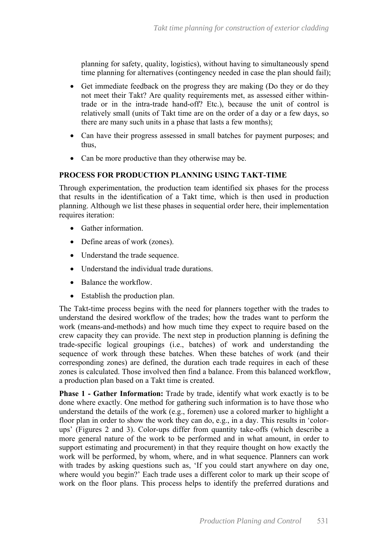planning for safety, quality, logistics), without having to simultaneously spend time planning for alternatives (contingency needed in case the plan should fail);

- Get immediate feedback on the progress they are making (Do they or do they not meet their Takt? Are quality requirements met, as assessed either withintrade or in the intra-trade hand-off? Etc.), because the unit of control is relatively small (units of Takt time are on the order of a day or a few days, so there are many such units in a phase that lasts a few months);
- Can have their progress assessed in small batches for payment purposes; and thus,
- Can be more productive than they otherwise may be.

## **PROCESS FOR PRODUCTION PLANNING USING TAKT-TIME**

Through experimentation, the production team identified six phases for the process that results in the identification of a Takt time, which is then used in production planning. Although we list these phases in sequential order here, their implementation requires iteration:

- Gather information.
- Define areas of work (zones).
- Understand the trade sequence.
- Understand the individual trade durations.
- Balance the workflow.
- Establish the production plan.

The Takt-time process begins with the need for planners together with the trades to understand the desired workflow of the trades; how the trades want to perform the work (means-and-methods) and how much time they expect to require based on the crew capacity they can provide. The next step in production planning is defining the trade-specific logical groupings (i.e., batches) of work and understanding the sequence of work through these batches. When these batches of work (and their corresponding zones) are defined, the duration each trade requires in each of these zones is calculated. Those involved then find a balance. From this balanced workflow, a production plan based on a Takt time is created.

**Phase 1 - Gather Information:** Trade by trade, identify what work exactly is to be done where exactly. One method for gathering such information is to have those who understand the details of the work (e.g., foremen) use a colored marker to highlight a floor plan in order to show the work they can do, e.g., in a day. This results in 'colorups' (Figures 2 and 3). Color-ups differ from quantity take-offs (which describe a more general nature of the work to be performed and in what amount, in order to support estimating and procurement) in that they require thought on how exactly the work will be performed, by whom, where, and in what sequence. Planners can work with trades by asking questions such as, 'If you could start anywhere on day one, where would you begin?' Each trade uses a different color to mark up their scope of work on the floor plans. This process helps to identify the preferred durations and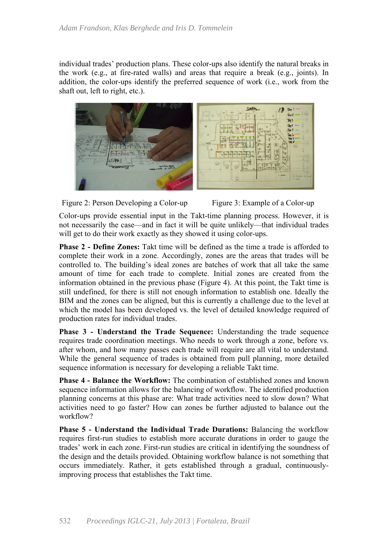individual trades' production plans. These color-ups also identify the natural breaks in the work (e.g., at fire-rated walls) and areas that require a break (e.g., joints). In addition, the color-ups identify the preferred sequence of work (i.e., work from the shaft out, left to right, etc.).







Color-ups provide essential input in the Takt-time planning process. However, it is not necessarily the case—and in fact it will be quite unlikely—that individual trades will get to do their work exactly as they showed it using color-ups.

**Phase 2 - Define Zones:** Takt time will be defined as the time a trade is afforded to complete their work in a zone. Accordingly, zones are the areas that trades will be controlled to. The building's ideal zones are batches of work that all take the same amount of time for each trade to complete. Initial zones are created from the information obtained in the previous phase (Figure 4). At this point, the Takt time is still undefined, for there is still not enough information to establish one. Ideally the BIM and the zones can be aligned, but this is currently a challenge due to the level at which the model has been developed vs. the level of detailed knowledge required of production rates for individual trades.

**Phase 3 - Understand the Trade Sequence:** Understanding the trade sequence requires trade coordination meetings. Who needs to work through a zone, before vs. after whom, and how many passes each trade will require are all vital to understand. While the general sequence of trades is obtained from pull planning, more detailed sequence information is necessary for developing a reliable Takt time.

**Phase 4 - Balance the Workflow:** The combination of established zones and known sequence information allows for the balancing of workflow. The identified production planning concerns at this phase are: What trade activities need to slow down? What activities need to go faster? How can zones be further adjusted to balance out the workflow?

**Phase 5 - Understand the Individual Trade Durations:** Balancing the workflow requires first-run studies to establish more accurate durations in order to gauge the trades' work in each zone. First-run studies are critical in identifying the soundness of the design and the details provided. Obtaining workflow balance is not something that occurs immediately. Rather, it gets established through a gradual, continuouslyimproving process that establishes the Takt time.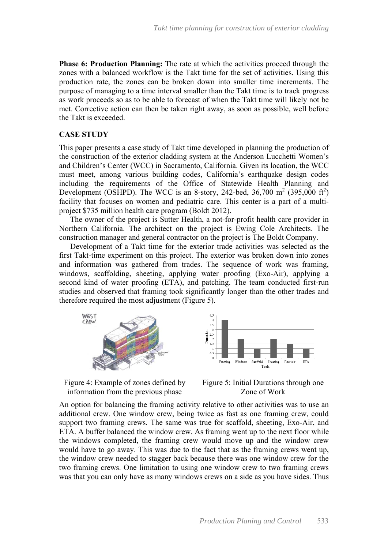**Phase 6: Production Planning:** The rate at which the activities proceed through the zones with a balanced workflow is the Takt time for the set of activities. Using this production rate, the zones can be broken down into smaller time increments. The purpose of managing to a time interval smaller than the Takt time is to track progress as work proceeds so as to be able to forecast of when the Takt time will likely not be met. Corrective action can then be taken right away, as soon as possible, well before the Takt is exceeded.

## **CASE STUDY**

This paper presents a case study of Takt time developed in planning the production of the construction of the exterior cladding system at the Anderson Lucchetti Women's and Children's Center (WCC) in Sacramento, California. Given its location, the WCC must meet, among various building codes, California's earthquake design codes including the requirements of the Office of Statewide Health Planning and Development (OSHPD). The WCC is an 8-story, 242-bed, 36,700 m<sup>2</sup> (395,000 ft<sup>2</sup>) facility that focuses on women and pediatric care. This center is a part of a multiproject \$735 million health care program (Boldt 2012).

The owner of the project is Sutter Health, a not-for-profit health care provider in Northern California. The architect on the project is Ewing Cole Architects. The construction manager and general contractor on the project is The Boldt Company.

Development of a Takt time for the exterior trade activities was selected as the first Takt-time experiment on this project. The exterior was broken down into zones and information was gathered from trades. The sequence of work was framing, windows, scaffolding, sheeting, applying water proofing (Exo-Air), applying a second kind of water proofing (ETA), and patching. The team conducted first-run studies and observed that framing took significantly longer than the other trades and therefore required the most adjustment (Figure 5).









An option for balancing the framing activity relative to other activities was to use an additional crew. One window crew, being twice as fast as one framing crew, could support two framing crews. The same was true for scaffold, sheeting, Exo-Air, and ETA. A buffer balanced the window crew. As framing went up to the next floor while the windows completed, the framing crew would move up and the window crew would have to go away. This was due to the fact that as the framing crews went up, the window crew needed to stagger back because there was one window crew for the two framing crews. One limitation to using one window crew to two framing crews was that you can only have as many windows crews on a side as you have sides. Thus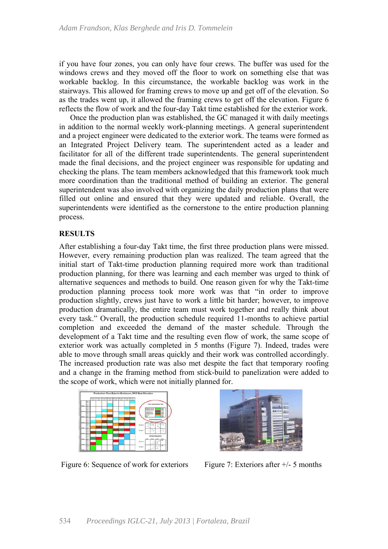if you have four zones, you can only have four crews. The buffer was used for the windows crews and they moved off the floor to work on something else that was workable backlog. In this circumstance, the workable backlog was work in the stairways. This allowed for framing crews to move up and get off of the elevation. So as the trades went up, it allowed the framing crews to get off the elevation. Figure 6 reflects the flow of work and the four-day Takt time established for the exterior work.

Once the production plan was established, the GC managed it with daily meetings in addition to the normal weekly work-planning meetings. A general superintendent and a project engineer were dedicated to the exterior work. The teams were formed as an Integrated Project Delivery team. The superintendent acted as a leader and facilitator for all of the different trade superintendents. The general superintendent made the final decisions, and the project engineer was responsible for updating and checking the plans. The team members acknowledged that this framework took much more coordination than the traditional method of building an exterior. The general superintendent was also involved with organizing the daily production plans that were filled out online and ensured that they were updated and reliable. Overall, the superintendents were identified as the cornerstone to the entire production planning process.

## **RESULTS**

After establishing a four-day Takt time, the first three production plans were missed. However, every remaining production plan was realized. The team agreed that the initial start of Takt-time production planning required more work than traditional production planning, for there was learning and each member was urged to think of alternative sequences and methods to build. One reason given for why the Takt-time production planning process took more work was that "in order to improve production slightly, crews just have to work a little bit harder; however, to improve production dramatically, the entire team must work together and really think about every task." Overall, the production schedule required 11-months to achieve partial completion and exceeded the demand of the master schedule. Through the development of a Takt time and the resulting even flow of work, the same scope of exterior work was actually completed in 5 months (Figure 7). Indeed, trades were able to move through small areas quickly and their work was controlled accordingly. The increased production rate was also met despite the fact that temporary roofing and a change in the framing method from stick-build to panelization were added to the scope of work, which were not initially planned for.



Figure 6: Sequence of work for exteriors Figure 7: Exteriors after  $+/-$  5 months

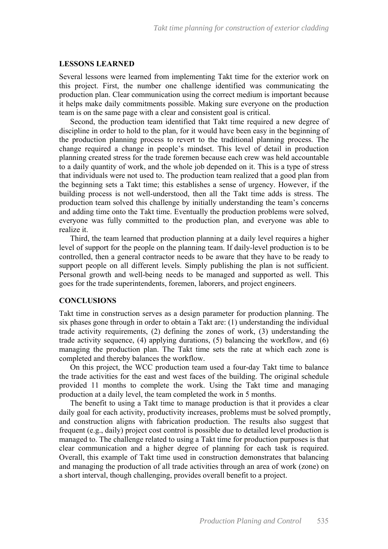#### **LESSONS LEARNED**

Several lessons were learned from implementing Takt time for the exterior work on this project. First, the number one challenge identified was communicating the production plan. Clear communication using the correct medium is important because it helps make daily commitments possible. Making sure everyone on the production team is on the same page with a clear and consistent goal is critical.

Second, the production team identified that Takt time required a new degree of discipline in order to hold to the plan, for it would have been easy in the beginning of the production planning process to revert to the traditional planning process. The change required a change in people's mindset. This level of detail in production planning created stress for the trade foremen because each crew was held accountable to a daily quantity of work, and the whole job depended on it. This is a type of stress that individuals were not used to. The production team realized that a good plan from the beginning sets a Takt time; this establishes a sense of urgency. However, if the building process is not well-understood, then all the Takt time adds is stress. The production team solved this challenge by initially understanding the team's concerns and adding time onto the Takt time. Eventually the production problems were solved, everyone was fully committed to the production plan, and everyone was able to realize it.

Third, the team learned that production planning at a daily level requires a higher level of support for the people on the planning team. If daily-level production is to be controlled, then a general contractor needs to be aware that they have to be ready to support people on all different levels. Simply publishing the plan is not sufficient. Personal growth and well-being needs to be managed and supported as well. This goes for the trade superintendents, foremen, laborers, and project engineers.

#### **CONCLUSIONS**

Takt time in construction serves as a design parameter for production planning. The six phases gone through in order to obtain a Takt are: (1) understanding the individual trade activity requirements, (2) defining the zones of work, (3) understanding the trade activity sequence, (4) applying durations, (5) balancing the workflow, and (6) managing the production plan. The Takt time sets the rate at which each zone is completed and thereby balances the workflow.

On this project, the WCC production team used a four-day Takt time to balance the trade activities for the east and west faces of the building. The original schedule provided 11 months to complete the work. Using the Takt time and managing production at a daily level, the team completed the work in 5 months.

The benefit to using a Takt time to manage production is that it provides a clear daily goal for each activity, productivity increases, problems must be solved promptly, and construction aligns with fabrication production. The results also suggest that frequent (e.g., daily) project cost control is possible due to detailed level production is managed to. The challenge related to using a Takt time for production purposes is that clear communication and a higher degree of planning for each task is required. Overall, this example of Takt time used in construction demonstrates that balancing and managing the production of all trade activities through an area of work (zone) on a short interval, though challenging, provides overall benefit to a project.